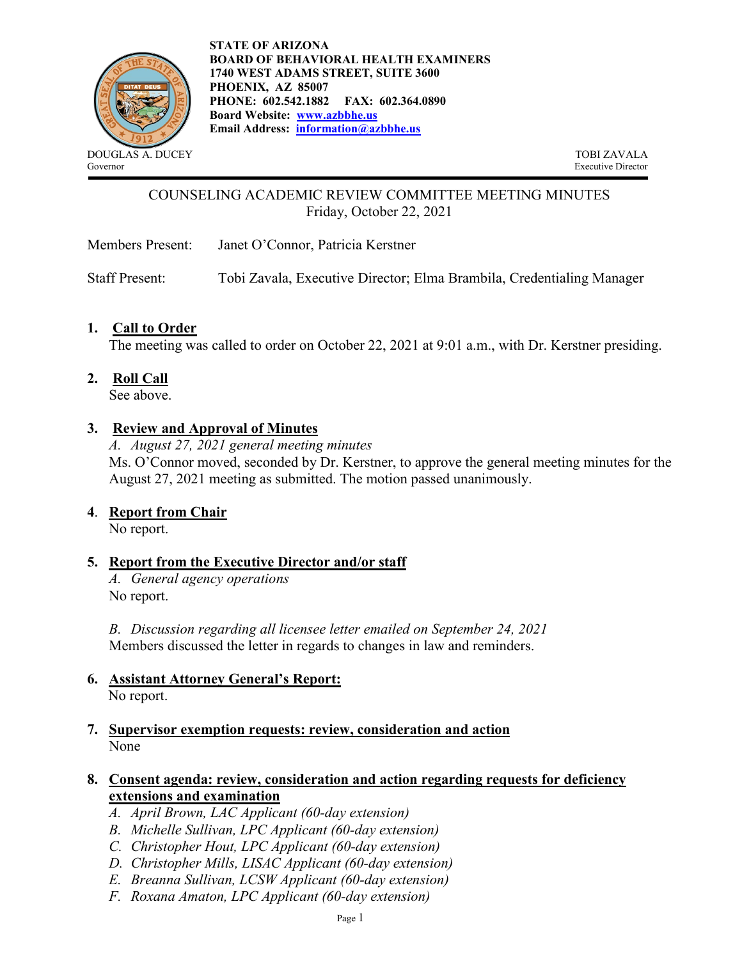

**STATE OF ARIZONA BOARD OF BEHAVIORAL HEALTH EXAMINERS 1740 WEST ADAMS STREET, SUITE 3600 PHOENIX, AZ 85007 PHONE: 602.542.1882 FAX: 602.364.0890 Board Website: [www.azbbhe.us](http://www.azbbhe.us/) Email Address: [information@azbbhe.us](mailto:information@azbbhe.us)**

DOUGLAS A. DUCEY TOBI ZAVALA<br>
Sovernor Executive Director Executive Director

# COUNSELING ACADEMIC REVIEW COMMITTEE MEETING MINUTES Friday, October 22, 2021

Members Present: Janet O'Connor, Patricia Kerstner

Staff Present: Tobi Zavala, Executive Director; Elma Brambila, Credentialing Manager

#### **1. Call to Order**

The meeting was called to order on October 22, 2021 at 9:01 a.m., with Dr. Kerstner presiding.

**2. Roll Call**

See above.

#### **3. Review and Approval of Minutes**

*A. August 27, 2021 general meeting minutes* Ms. O'Connor moved, seconded by Dr. Kerstner, to approve the general meeting minutes for the August 27, 2021 meeting as submitted. The motion passed unanimously.

#### **4**. **Report from Chair**

No report.

## **5. Report from the Executive Director and/or staff**

*A. General agency operations* No report.

*B. Discussion regarding all licensee letter emailed on September 24, 2021* Members discussed the letter in regards to changes in law and reminders.

- **6. Assistant Attorney General's Report:**  No report.
- **7. Supervisor exemption requests: review, consideration and action** None

## **8. Consent agenda: review, consideration and action regarding requests for deficiency extensions and examination**

- *A. April Brown, LAC Applicant (60-day extension)*
- *B. Michelle Sullivan, LPC Applicant (60-day extension)*
- *C. Christopher Hout, LPC Applicant (60-day extension)*
- *D. Christopher Mills, LISAC Applicant (60-day extension)*
- *E. Breanna Sullivan, LCSW Applicant (60-day extension)*
- *F. Roxana Amaton, LPC Applicant (60-day extension)*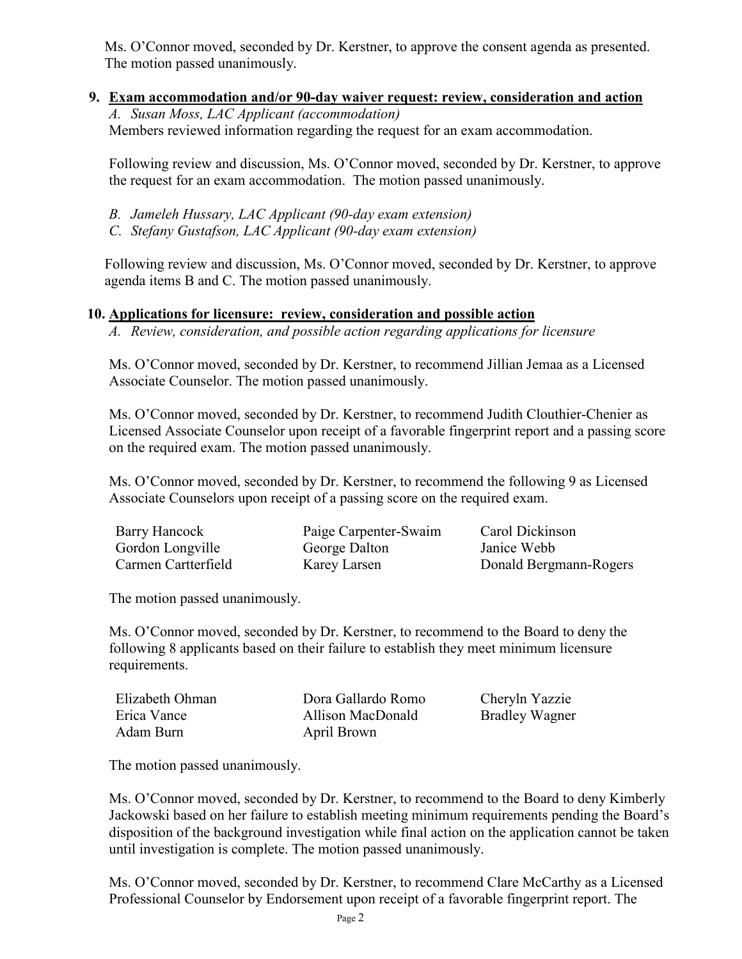Ms. O'Connor moved, seconded by Dr. Kerstner, to approve the consent agenda as presented. The motion passed unanimously.

 **9. Exam accommodation and/or 90-day waiver request: review, consideration and action** *A. Susan Moss, LAC Applicant (accommodation)*  Members reviewed information regarding the request for an exam accommodation.

Following review and discussion, Ms. O'Connor moved, seconded by Dr. Kerstner, to approve the request for an exam accommodation. The motion passed unanimously.

- *B. Jameleh Hussary, LAC Applicant (90-day exam extension)*
- *C. Stefany Gustafson, LAC Applicant (90-day exam extension)*

Following review and discussion, Ms. O'Connor moved, seconded by Dr. Kerstner, to approve agenda items B and C. The motion passed unanimously.

## **10. Applications for licensure: review, consideration and possible action**

*A. Review, consideration, and possible action regarding applications for licensure*

Ms. O'Connor moved, seconded by Dr. Kerstner, to recommend Jillian Jemaa as a Licensed Associate Counselor. The motion passed unanimously.

Ms. O'Connor moved, seconded by Dr. Kerstner, to recommend Judith Clouthier-Chenier as Licensed Associate Counselor upon receipt of a favorable fingerprint report and a passing score on the required exam. The motion passed unanimously.

Ms. O'Connor moved, seconded by Dr. Kerstner, to recommend the following 9 as Licensed Associate Counselors upon receipt of a passing score on the required exam.

| <b>Barry Hancock</b> | Paige Carpenter-Swaim | Carol Dickinson        |
|----------------------|-----------------------|------------------------|
| Gordon Longville     | George Dalton         | Janice Webb            |
| Carmen Cartterfield  | Karey Larsen          | Donald Bergmann-Rogers |

The motion passed unanimously.

Ms. O'Connor moved, seconded by Dr. Kerstner, to recommend to the Board to deny the following 8 applicants based on their failure to establish they meet minimum licensure requirements.

| Elizabeth Ohman | Dora Gallardo Romo | Cheryln Yazzie        |
|-----------------|--------------------|-----------------------|
| Erica Vance     | Allison MacDonald  | <b>Bradley Wagner</b> |
| Adam Burn       | April Brown        |                       |

The motion passed unanimously.

Ms. O'Connor moved, seconded by Dr. Kerstner, to recommend to the Board to deny Kimberly Jackowski based on her failure to establish meeting minimum requirements pending the Board's disposition of the background investigation while final action on the application cannot be taken until investigation is complete. The motion passed unanimously.

Ms. O'Connor moved, seconded by Dr. Kerstner, to recommend Clare McCarthy as a Licensed Professional Counselor by Endorsement upon receipt of a favorable fingerprint report. The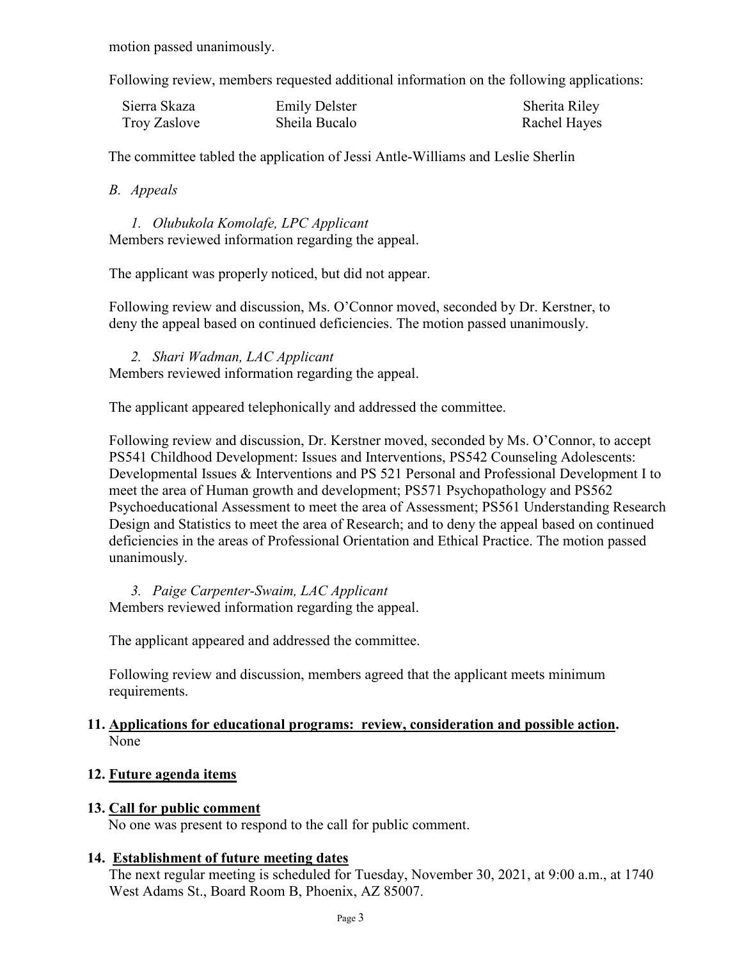motion passed unanimously.

Following review, members requested additional information on the following applications:

| Sierra Skaza | <b>Emily Delster</b> | Sherita Riley |
|--------------|----------------------|---------------|
| Troy Zaslove | Sheila Bucalo        | Rachel Hayes  |

The committee tabled the application of Jessi Antle-Williams and Leslie Sherlin

*B. Appeals*

*1. Olubukola Komolafe, LPC Applicant*  Members reviewed information regarding the appeal.

The applicant was properly noticed, but did not appear.

Following review and discussion, Ms. O'Connor moved, seconded by Dr. Kerstner, to deny the appeal based on continued deficiencies. The motion passed unanimously.

*2. Shari Wadman, LAC Applicant*  Members reviewed information regarding the appeal.

The applicant appeared telephonically and addressed the committee.

Following review and discussion, Dr. Kerstner moved, seconded by Ms. O'Connor, to accept PS541 Childhood Development: Issues and Interventions, PS542 Counseling Adolescents: Developmental Issues & Interventions and PS 521 Personal and Professional Development I to meet the area of Human growth and development; PS571 Psychopathology and PS562 Psychoeducational Assessment to meet the area of Assessment; PS561 Understanding Research Design and Statistics to meet the area of Research; and to deny the appeal based on continued deficiencies in the areas of Professional Orientation and Ethical Practice. The motion passed unanimously.

*3. Paige Carpenter-Swaim, LAC Applicant*  Members reviewed information regarding the appeal.

The applicant appeared and addressed the committee.

Following review and discussion, members agreed that the applicant meets minimum requirements.

## **11. Applications for educational programs: review, consideration and possible action.** None

# **12. Future agenda items**

## **13. Call for public comment**

No one was present to respond to the call for public comment.

## **14. Establishment of future meeting dates**

The next regular meeting is scheduled for Tuesday, November 30, 2021, at 9:00 a.m., at 1740 West Adams St., Board Room B, Phoenix, AZ 85007.